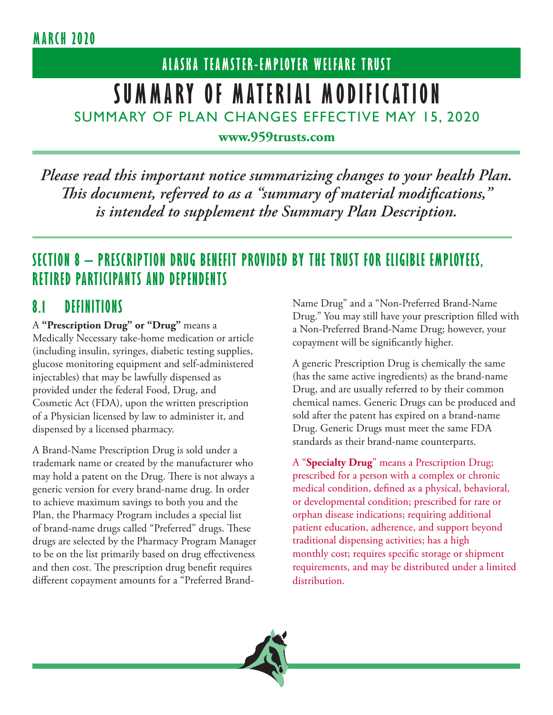# **ALASKA TEAMSTER-EMPLOYER WELFARE TRUST SUMMARY OF MATERIAL MODIFICATION** SUMMARY OF PLAN CHANGES EFFECTIVE MAY 15, 2020

**www.959trusts.com**

*Please read this important notice summarizing changes to your health Plan. This document, referred to as a "summary of material modifications," is intended to supplement the Summary Plan Description.* 

### **SECTION 8 – PRESCRIPTION DRUG BENEFIT PROVIDED BY THE TRUST FOR ELIGIBLE EMPLOYEES, RETIRED PARTICIPANTS AND DEPENDENTS**

#### **8.1 DEFINITIONS**

A **"Prescription Drug" or "Drug"** means a Medically Necessary take-home medication or article (including insulin, syringes, diabetic testing supplies, glucose monitoring equipment and self-administered injectables) that may be lawfully dispensed as provided under the federal Food, Drug, and Cosmetic Act (FDA), upon the written prescription of a Physician licensed by law to administer it, and dispensed by a licensed pharmacy.

A Brand-Name Prescription Drug is sold under a trademark name or created by the manufacturer who may hold a patent on the Drug. There is not always a generic version for every brand-name drug. In order to achieve maximum savings to both you and the Plan, the Pharmacy Program includes a special list of brand-name drugs called "Preferred" drugs. These drugs are selected by the Pharmacy Program Manager to be on the list primarily based on drug effectiveness and then cost. The prescription drug benefit requires different copayment amounts for a "Preferred BrandName Drug" and a "Non-Preferred Brand-Name Drug." You may still have your prescription filled with a Non-Preferred Brand-Name Drug; however, your copayment will be significantly higher.

A generic Prescription Drug is chemically the same (has the same active ingredients) as the brand-name Drug, and are usually referred to by their common chemical names. Generic Drugs can be produced and sold after the patent has expired on a brand-name Drug. Generic Drugs must meet the same FDA standards as their brand-name counterparts.

A "**Specialty Drug**" means a Prescription Drug; prescribed for a person with a complex or chronic medical condition, defined as a physical, behavioral, or developmental condition; prescribed for rare or orphan disease indications; requiring additional patient education, adherence, and support beyond traditional dispensing activities; has a high monthly cost; requires specific storage or shipment requirements, and may be distributed under a limited distribution.

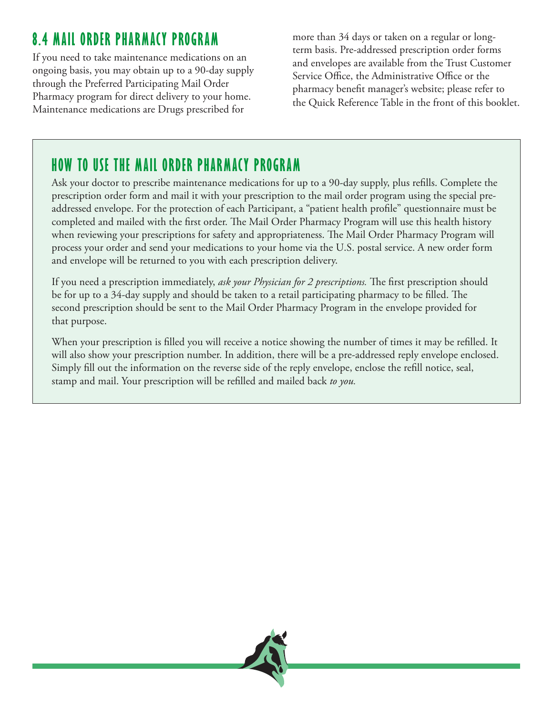# **8.4 MAIL ORDER PHARMACY PROGRAM**

If you need to take maintenance medications on an ongoing basis, you may obtain up to a 90-day supply through the Preferred Participating Mail Order Pharmacy program for direct delivery to your home. Maintenance medications are Drugs prescribed for

more than 34 days or taken on a regular or longterm basis. Pre-addressed prescription order forms and envelopes are available from the Trust Customer Service Office, the Administrative Office or the pharmacy benefit manager's website; please refer to the Quick Reference Table in the front of this booklet.

## **HOW TO USE THE MAIL ORDER PHARMACY PROGRAM**

Ask your doctor to prescribe maintenance medications for up to a 90-day supply, plus refills. Complete the prescription order form and mail it with your prescription to the mail order program using the special preaddressed envelope. For the protection of each Participant, a "patient health profile" questionnaire must be completed and mailed with the first order. The Mail Order Pharmacy Program will use this health history when reviewing your prescriptions for safety and appropriateness. The Mail Order Pharmacy Program will process your order and send your medications to your home via the U.S. postal service. A new order form and envelope will be returned to you with each prescription delivery.

If you need a prescription immediately, *ask your Physician for 2 prescriptions.* The first prescription should be for up to a 34-day supply and should be taken to a retail participating pharmacy to be filled. The second prescription should be sent to the Mail Order Pharmacy Program in the envelope provided for that purpose.

When your prescription is filled you will receive a notice showing the number of times it may be refilled. It will also show your prescription number. In addition, there will be a pre-addressed reply envelope enclosed. Simply fill out the information on the reverse side of the reply envelope, enclose the refill notice, seal, stamp and mail. Your prescription will be refilled and mailed back *to you.*

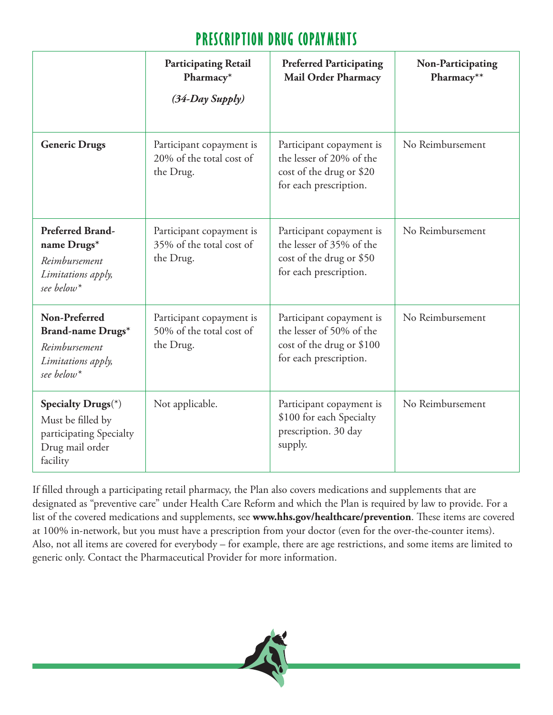## **PRESCRIPTION DRUG COPAYMENTS**

|                                                                                                         | <b>Participating Retail</b><br>Pharmacy*<br>$(34$ -Day Supply)    | <b>Preferred Participating</b><br><b>Mail Order Pharmacy</b>                                                | Non-Participating<br>Pharmacy** |
|---------------------------------------------------------------------------------------------------------|-------------------------------------------------------------------|-------------------------------------------------------------------------------------------------------------|---------------------------------|
| <b>Generic Drugs</b>                                                                                    | Participant copayment is<br>20% of the total cost of<br>the Drug. | Participant copayment is<br>the lesser of 20% of the<br>cost of the drug or \$20<br>for each prescription.  | No Reimbursement                |
| <b>Preferred Brand-</b><br>name Drugs*<br>Reimbursement<br>Limitations apply,<br>see below <sup>*</sup> | Participant copayment is<br>35% of the total cost of<br>the Drug. | Participant copayment is<br>the lesser of 35% of the<br>cost of the drug or \$50<br>for each prescription.  | No Reimbursement                |
| Non-Preferred<br>Brand-name Drugs*<br>Reimbursement<br>Limitations apply,<br>see below*                 | Participant copayment is<br>50% of the total cost of<br>the Drug. | Participant copayment is<br>the lesser of 50% of the<br>cost of the drug or \$100<br>for each prescription. | No Reimbursement                |
| Specialty Drugs(*)<br>Must be filled by<br>participating Specialty<br>Drug mail order<br>facility       | Not applicable.                                                   | Participant copayment is<br>\$100 for each Specialty<br>prescription. 30 day<br>supply.                     | No Reimbursement                |

If filled through a participating retail pharmacy, the Plan also covers medications and supplements that are designated as "preventive care" under Health Care Reform and which the Plan is required by law to provide. For a list of the covered medications and supplements, see **www.hhs.gov/healthcare/prevention**. These items are covered at 100% in-network, but you must have a prescription from your doctor (even for the over-the-counter items). Also, not all items are covered for everybody – for example, there are age restrictions, and some items are limited to generic only. Contact the Pharmaceutical Provider for more information.